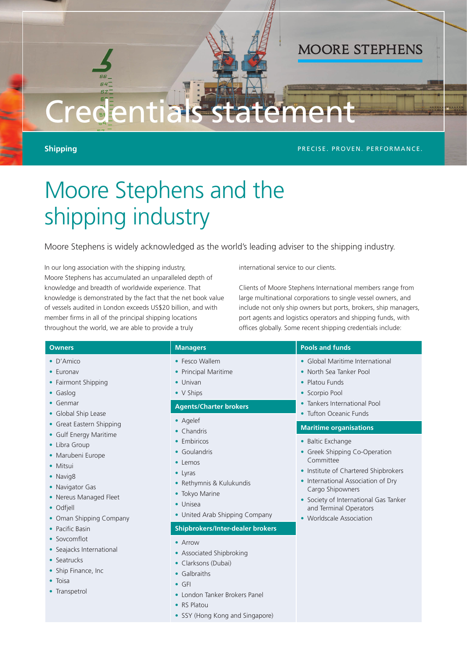# Creden

**Shipping** PRECISE. PROVEN. PERFORMANCE.

**MOORE STEPHENS** 

## Moore Stephens and the shipping industry

Moore Stephens is widely acknowledged as the world's leading adviser to the shipping industry.

In our long association with the shipping industry, Moore Stephens has accumulated an unparalleled depth of knowledge and breadth of worldwide experience. That knowledge is demonstrated by the fact that the net book value of vessels audited in London exceeds US\$20 billion, and with member firms in all of the principal shipping locations throughout the world, we are able to provide a truly

international service to our clients.

Clients of Moore Stephens International members range from large multinational corporations to single vessel owners, and include not only ship owners but ports, brokers, ship managers, port agents and logistics operators and shipping funds, with offices globally. Some recent shipping credentials include:

| <b>Owners</b>                                                                                                                                                                                                                                                                                                                                                                                                                                                  | <b>Managers</b>                                                                                                                                                                                                                                                                                                                                                                                                                                                                  | <b>Pools and funds</b>                                                                                                                                   |
|----------------------------------------------------------------------------------------------------------------------------------------------------------------------------------------------------------------------------------------------------------------------------------------------------------------------------------------------------------------------------------------------------------------------------------------------------------------|----------------------------------------------------------------------------------------------------------------------------------------------------------------------------------------------------------------------------------------------------------------------------------------------------------------------------------------------------------------------------------------------------------------------------------------------------------------------------------|----------------------------------------------------------------------------------------------------------------------------------------------------------|
| $\bullet$ D'Amico<br>• Euronav<br>• Fairmont Shipping<br>$\bullet$ Gaslog<br>$\bullet$ Genmar<br>• Global Ship Lease<br>• Great Eastern Shipping<br>• Gulf Energy Maritime<br>• Libra Group<br>• Marubeni Europe<br>• Mitsui<br>• Navig8<br>• Navigator Gas<br>• Nereus Managed Fleet<br>• Odfiell<br>• Oman Shipping Company<br>• Pacific Basin<br>• Sovcomflot<br>• Seajacks International<br>• Seatrucks<br>• Ship Finance, Inc<br>• Toisa<br>• Transpetrol | • Fesco Wallem<br>• Principal Maritime<br>$\bullet$ Univan<br>• V Ships<br><b>Agents/Charter brokers</b><br>• Agelef                                                                                                                                                                                                                                                                                                                                                             | • Global Maritime International<br>• North Sea Tanker Pool<br>• Platou Funds<br>• Scorpio Pool<br>• Tankers International Pool<br>• Tufton Oceanic Funds |
|                                                                                                                                                                                                                                                                                                                                                                                                                                                                | <b>Maritime organisations</b><br>$\bullet$ Chandris<br>• Embiricos<br>• Baltic Exchange<br>• Greek Shipping Co-Operation<br>• Goulandris<br>Committee<br>• Lemos<br>• Institute of Chartered Shipbrokers<br>$\bullet$ Lyras<br>• International Association of Dry<br>• Rethymnis & Kulukundis<br>Cargo Shipowners<br>• Tokyo Marine<br>• Society of International Gas Tanker<br>• Unisea<br>and Terminal Operators<br>• United Arab Shipping Company<br>• Worldscale Association |                                                                                                                                                          |
|                                                                                                                                                                                                                                                                                                                                                                                                                                                                |                                                                                                                                                                                                                                                                                                                                                                                                                                                                                  | <b>Shipbrokers/Inter-dealer brokers</b>                                                                                                                  |
|                                                                                                                                                                                                                                                                                                                                                                                                                                                                | • Arrow<br>• Associated Shipbroking<br>• Clarksons (Dubai)<br>• Galbraiths<br>$\bullet$ GFI<br>• London Tanker Brokers Panel<br>• RS Platou<br>• SSY (Hong Kong and Singapore)                                                                                                                                                                                                                                                                                                   |                                                                                                                                                          |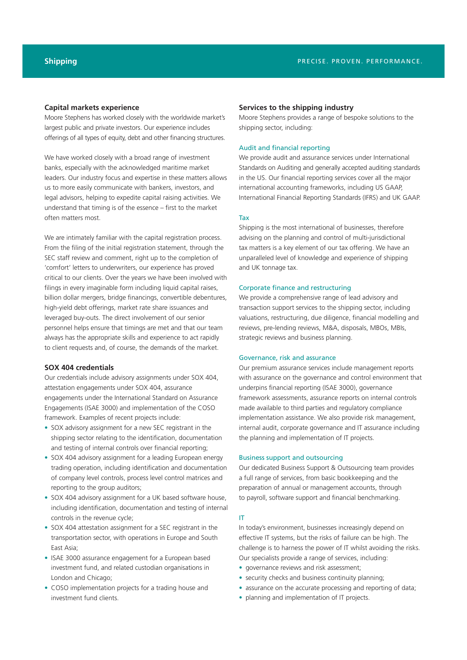#### **Capital markets experience**

Moore Stephens has worked closely with the worldwide market's largest public and private investors. Our experience includes offerings of all types of equity, debt and other financing structures.

We have worked closely with a broad range of investment banks, especially with the acknowledged maritime market leaders. Our industry focus and expertise in these matters allows us to more easily communicate with bankers, investors, and legal advisors, helping to expedite capital raising activities. We understand that timing is of the essence – first to the market often matters most.

We are intimately familiar with the capital registration process. From the filing of the initial registration statement, through the SEC staff review and comment, right up to the completion of 'comfort' letters to underwriters, our experience has proved critical to our clients. Over the years we have been involved with filings in every imaginable form including liquid capital raises, billion dollar mergers, bridge financings, convertible debentures, high-yield debt offerings, market rate share issuances and leveraged buy-outs. The direct involvement of our senior personnel helps ensure that timings are met and that our team always has the appropriate skills and experience to act rapidly to client requests and, of course, the demands of the market.

#### **SOX 404 credentials**

Our credentials include advisory assignments under SOX 404, attestation engagements under SOX 404, assurance engagements under the International Standard on Assurance Engagements (ISAE 3000) and implementation of the COSO framework. Examples of recent projects include:

- SOX advisory assignment for a new SEC registrant in the shipping sector relating to the identification, documentation and testing of internal controls over financial reporting;
- SOX 404 advisory assignment for a leading European energy trading operation, including identification and documentation of company level controls, process level control matrices and reporting to the group auditors;
- SOX 404 advisory assignment for a UK based software house, including identification, documentation and testing of internal controls in the revenue cycle;
- SOX 404 attestation assignment for a SEC registrant in the transportation sector, with operations in Europe and South East Asia;
- ISAE 3000 assurance engagement for a European based investment fund, and related custodian organisations in London and Chicago;
- COSO implementation projects for a trading house and investment fund clients.

#### **Services to the shipping industry**

Moore Stephens provides a range of bespoke solutions to the shipping sector, including:

#### Audit and financial reporting

We provide audit and assurance services under International Standards on Auditing and generally accepted auditing standards in the US. Our financial reporting services cover all the major international accounting frameworks, including US GAAP, International Financial Reporting Standards (IFRS) and UK GAAP.

#### Tax

Shipping is the most international of businesses, therefore advising on the planning and control of multi-jurisdictional tax matters is a key element of our tax offering. We have an unparalleled level of knowledge and experience of shipping and UK tonnage tax.

#### Corporate finance and restructuring

We provide a comprehensive range of lead advisory and transaction support services to the shipping sector, including valuations, restructuring, due diligence, financial modelling and reviews, pre-lending reviews, M&A, disposals, MBOs, MBIs, strategic reviews and business planning.

#### Governance, risk and assurance

Our premium assurance services include management reports with assurance on the governance and control environment that underpins financial reporting (ISAE 3000), governance framework assessments, assurance reports on internal controls made available to third parties and regulatory compliance implementation assistance. We also provide risk management, internal audit, corporate governance and IT assurance including the planning and implementation of IT projects.

### Business support and outsourcing

Our dedicated Business Support & Outsourcing team provides a full range of services, from basic bookkeeping and the preparation of annual or management accounts, through to payroll, software support and financial benchmarking.

#### IT

In today's environment, businesses increasingly depend on effective IT systems, but the risks of failure can be high. The challenge is to harness the power of IT whilst avoiding the risks. Our specialists provide a range of services, including:

- governance reviews and risk assessment;
- security checks and business continuity planning;
- assurance on the accurate processing and reporting of data;
- planning and implementation of IT projects.